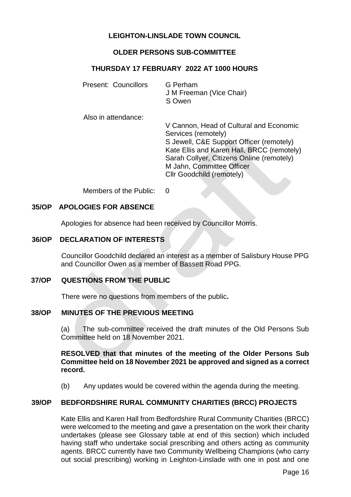# **LEIGHTON-LINSLADE TOWN COUNCIL**

# **OLDER PERSONS SUB-COMMITTEE**

# **THURSDAY 17 FEBRUARY 2022 AT 1000 HOURS**

| Present: Councillors | G Perham                 |  |
|----------------------|--------------------------|--|
|                      | J M Freeman (Vice Chair) |  |
|                      | S Owen                   |  |
|                      |                          |  |

Also in attendance:

V Cannon, Head of Cultural and Economic Services (remotely) S Jewell, C&E Support Officer (remotely) Kate Ellis and Karen Hall, BRCC (remotely) Sarah Collyer, Citizens Online (remotely) M Jahn, Committee Officer Cllr Goodchild (remotely)

Members of the Public: 0

## **35/OP APOLOGIES FOR ABSENCE**

Apologies for absence had been received by Councillor Morris.

#### **36/OP DECLARATION OF INTERESTS**

Councillor Goodchild declared an interest as a member of Salisbury House PPG and Councillor Owen as a member of Bassett Road PPG.

#### **37/OP QUESTIONS FROM THE PUBLIC**

There were no questions from members of the public**.**

#### **38/OP MINUTES OF THE PREVIOUS MEETING**

(a) The sub-committee received the draft minutes of the Old Persons Sub Committee held on 18 November 2021.

## **RESOLVED that that minutes of the meeting of the Older Persons Sub Committee held on 18 November 2021 be approved and signed as a correct record.**

(b)Any updates would be covered within the agenda during the meeting.

# **39/OP BEDFORDSHIRE RURAL COMMUNITY CHARITIES (BRCC) PROJECTS**

Kate Ellis and Karen Hall from Bedfordshire Rural Community Charities (BRCC) were welcomed to the meeting and gave a presentation on the work their charity undertakes (please see Glossary table at end of this section) which included having staff who undertake social prescribing and others acting as community agents. BRCC currently have two Community Wellbeing Champions (who carry out social prescribing) working in Leighton-Linslade with one in post and one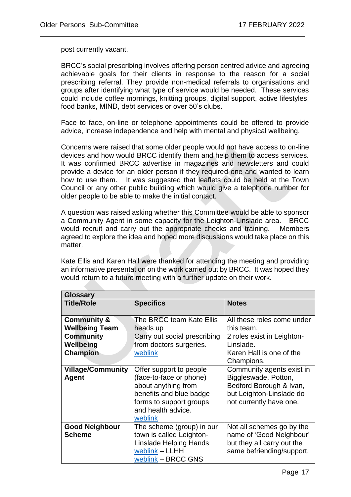j.

post currently vacant.

BRCC's social prescribing involves offering person centred advice and agreeing achievable goals for their clients in response to the reason for a social prescribing referral. They provide non-medical referrals to organisations and groups after identifying what type of service would be needed. These services could include coffee mornings, knitting groups, digital support, active lifestyles, food banks, MIND, debt services or over 50's clubs.

Face to face, on-line or telephone appointments could be offered to provide advice, increase independence and help with mental and physical wellbeing.

Concerns were raised that some older people would not have access to on-line devices and how would BRCC identify them and help them to access services. It was confirmed BRCC advertise in magazines and newsletters and could provide a device for an older person if they required one and wanted to learn how to use them. It was suggested that leaflets could be held at the Town Council or any other public building which would give a telephone number for older people to be able to make the initial contact.

A question was raised asking whether this Committee would be able to sponsor a Community Agent in some capacity for the Leighton-Linslade area. BRCC would recruit and carry out the appropriate checks and training. Members agreed to explore the idea and hoped more discussions would take place on this matter.

Kate Ellis and Karen Hall were thanked for attending the meeting and providing an informative presentation on the work carried out by BRCC. It was hoped they would return to a future meeting with a further update on their work.

| Glossary                 |                               |                            |  |  |  |  |
|--------------------------|-------------------------------|----------------------------|--|--|--|--|
| <b>Title/Role</b>        | <b>Specifics</b>              | <b>Notes</b>               |  |  |  |  |
|                          |                               |                            |  |  |  |  |
| <b>Community &amp;</b>   | The BRCC team Kate Ellis      | All these roles come under |  |  |  |  |
| <b>Wellbeing Team</b>    | heads up                      | this team.                 |  |  |  |  |
| <b>Community</b>         | Carry out social prescribing  | 2 roles exist in Leighton- |  |  |  |  |
| Wellbeing                | from doctors surgeries.       | Linslade.                  |  |  |  |  |
| <b>Champion</b>          | weblink                       | Karen Hall is one of the   |  |  |  |  |
|                          |                               | Champions.                 |  |  |  |  |
| <b>Village/Community</b> | Offer support to people       | Community agents exist in  |  |  |  |  |
| Agent                    | (face-to-face or phone)       | Biggleswade, Potton,       |  |  |  |  |
|                          | about anything from           | Bedford Borough & Ivan,    |  |  |  |  |
|                          | benefits and blue badge       | but Leighton-Linslade do   |  |  |  |  |
|                          | forms to support groups       | not currently have one.    |  |  |  |  |
|                          | and health advice.            |                            |  |  |  |  |
|                          | weblink                       |                            |  |  |  |  |
| <b>Good Neighbour</b>    | The scheme (group) in our     | Not all schemes go by the  |  |  |  |  |
| <b>Scheme</b>            | town is called Leighton-      | name of 'Good Neighbour'   |  |  |  |  |
|                          | <b>Linslade Helping Hands</b> | but they all carry out the |  |  |  |  |
|                          | weblink - LLHH                | same befriending/support.  |  |  |  |  |
|                          | weblink - BRCC GNS            |                            |  |  |  |  |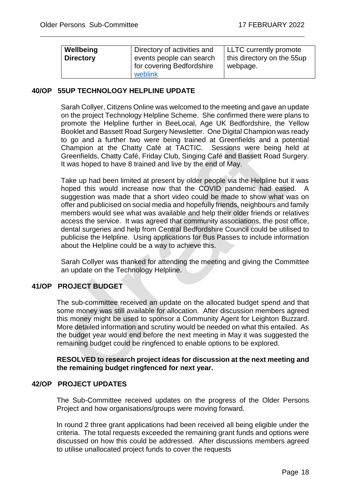j.

| Wellbeing<br><b>Directory</b> | Directory of activities and<br>events people can search<br>I for covering Bedfordshire<br>weblink | LLTC currently promote<br>this directory on the 55up<br>webpage. |
|-------------------------------|---------------------------------------------------------------------------------------------------|------------------------------------------------------------------|
|-------------------------------|---------------------------------------------------------------------------------------------------|------------------------------------------------------------------|

## **40/OP 55UP TECHNOLOGY HELPLINE UPDATE**

Sarah Collyer, Citizens Online was welcomed to the meeting and gave an update on the project Technology Helpline Scheme. She confirmed there were plans to promote the Helpline further in BeeLocal, Age UK Bedfordshire, the Yellow Booklet and Bassett Road Surgery Newsletter. One Digital Champion was ready to go and a further two were being trained at Greenfields and a potential Champion at the Chatty Café at TACTIC. Sessions were being held at Greenfields, Chatty Café, Friday Club, Singing Café and Bassett Road Surgery. It was hoped to have 8 trained and live by the end of May.

Take up had been limited at present by older people via the Helpline but it was hoped this would increase now that the COVID pandemic had eased. A suggestion was made that a short video could be made to show what was on offer and publicised on social media and hopefully friends, neighbours and family members would see what was available and help their older friends or relatives access the service. It was agreed that community associations, the post office, dental surgeries and help from Central Bedfordshire Council could be utilised to publicise the Helpline. Using applications for Bus Passes to include information about the Helpline could be a way to achieve this.

Sarah Collyer was thanked for attending the meeting and giving the Committee an update on the Technology Helpline.

# **41/OP PROJECT BUDGET**

The sub-committee received an update on the allocated budget spend and that some money was still available for allocation. After discussion members agreed this money might be used to sponsor a Community Agent for Leighton Buzzard. More detailed information and scrutiny would be needed on what this entailed. As the budget year would end before the next meeting in May it was suggested the remaining budget could be ringfenced to enable options to be explored.

**RESOLVED to research project ideas for discussion at the next meeting and the remaining budget ringfenced for next year.** 

#### **42/OP PROJECT UPDATES**

The Sub-Committee received updates on the progress of the Older Persons Project and how organisations/groups were moving forward.

 In round 2 three grant applications had been received all being eligible under the criteria. The total requests exceeded the remaining grant funds and options were discussed on how this could be addressed. After discussions members agreed to utilise unallocated project funds to cover the requests